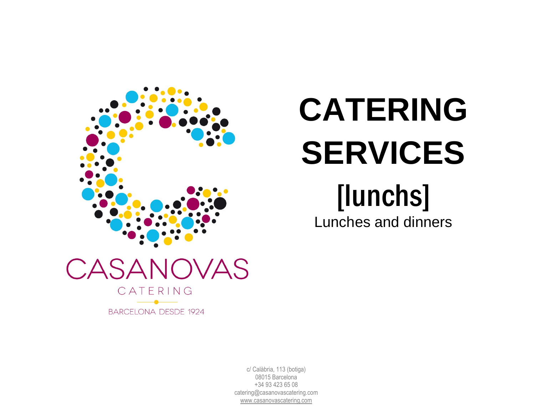

# **CATERING SERVICES**

## [lunchs]

Lunches and dinners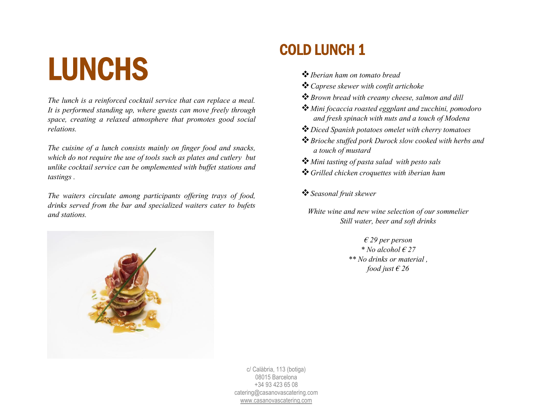## LUNCHS

*The lunch is a reinforced cocktail service that can replace a meal. It is performed standing up, where guests can move freely through space, creating a relaxed atmosphere that promotes good social relations.*

*The cuisine of a lunch consists mainly on finger food and snacks, which do not require the use of tools such as plates and cutlery but unlike cocktail service can be omplemented with buffet stations and tastings .*

*The waiters circulate among participants offering trays of food, drinks served from the bar and specialized waiters cater to bufets and stations.*



### COLD LUNCH 1

- ❖*Iberian ham on tomato bread*
- ❖*Caprese skewer with confit artichoke*
- ❖*Brown bread with creamy cheese, salmon and dill*
- ❖*Mini focaccia roasted eggplant and zucchini, pomodoro and fresh spinach with nuts and a touch of Modena*
- ❖*Diced Spanish potatoes omelet with cherry tomatoes*
- ❖*Brioche stuffed pork Durock slow cooked with herbs and a touch of mustard*
- ❖*Mini tasting of pasta salad with pesto sals*
- ❖*Grilled chicken croquettes with iberian ham*
- ❖*Seasonal fruit skewer*
	- *White wine and new wine selection of our sommelier Still water, beer and soft drinks*

*€ 29 per person \* No alcohol € 27 \*\* No drinks or material , food just € 26*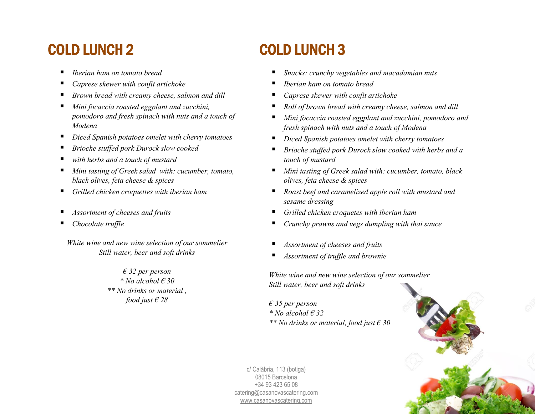### COLD LUNCH 2

- *Iberian ham on tomato bread*
- *Caprese skewer with confit artichoke*
- *Brown bread with creamy cheese, salmon and dill*
- *Mini focaccia roasted eggplant and zucchini, pomodoro and fresh spinach with nuts and a touch of Modena*
- *Diced Spanish potatoes omelet with cherry tomatoes*
- *Brioche stuffed pork Durock slow cooked*
- with herbs and a touch of mustard
- *Mini tasting of Greek salad with: cucumber, tomato, black olives, feta cheese & spices*
- *Grilled chicken croquettes with iberian ham*
- *Assortment of cheeses and fruits*
- *Chocolate truffle*

*White wine and new wine selection of our sommelier Still water, beer and soft drinks*

> *€ 32 per person \* No alcohol € 30 \*\* No drinks or material , food just € 28*

## COLD LUNCH 3

- *Snacks: crunchy vegetables and macadamian nuts*
- *Iberian ham on tomato bread*
- *Caprese skewer with confit artichoke*
- *Roll of brown bread with creamy cheese, salmon and dill*
- *Mini focaccia roasted eggplant and zucchini, pomodoro and fresh spinach with nuts and a touch of Modena*
- *Diced Spanish potatoes omelet with cherry tomatoes*
- *Brioche stuffed pork Durock slow cooked with herbs and a touch of mustard*
- *Mini tasting of Greek salad with: cucumber, tomato, black olives, feta cheese & spices*
- *Roast beef and caramelized apple roll with mustard and sesame dressing*
- *Grilled chicken croquetes with iberian ham*
- *Crunchy prawns and vegs dumpling with thai sauce*
- *Assortment of cheeses and fruits*
- *Assortment of truffle and brownie*

*White wine and new wine selection of our sommelier Still water, beer and soft drinks*

*€ 35 per person \* No alcohol € 32 \*\* No drinks or material, food just € 30*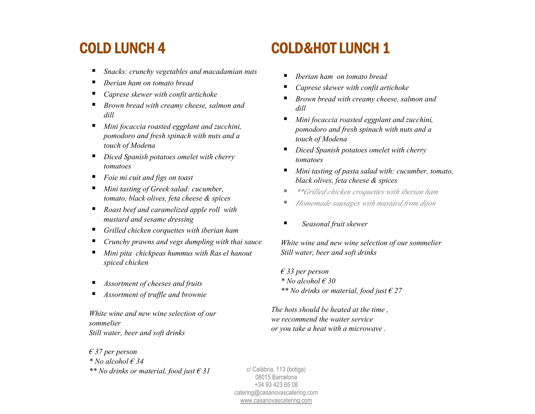### COLD LUNCH 4

- *Snacks: crunchy vegetables and macadamian nuts*
- *Iberian ham on tomato bread*
- *Caprese skewer with confit artichoke*
- *Brown bread with creamy cheese, salmon and dill*
- *Mini focaccia roasted eggplant and zucchini, pomodoro and fresh spinach with nuts and a touch of Modena*
- *Diced Spanish potatoes omelet with cherry tomatoes*
- *Foie mi cuit and figs on toast*
- *Mini tasting of Greek salad: cucumber, tomato, black olives, feta cheese & spices*
- *Roast beef and caramelized apple roll with mustard and sesame dressing*
- *Grilled chicken corquettes with iberian ham*
- *Crunchy prawns and vegs dumpling with thai sauce*
- *Mini pita chickpeas hummus with Ras el hanout spiced chicken*
- *Assortment of cheeses and fruits*
- *Assortment of truffle and brownie*

*White wine and new wine selection of our sommelier Still water, beer and soft drinks*

## COLD&HOT LUNCH 1

- *Iberian ham on tomato bread*
- *Caprese skewer with confit artichoke*
- *Brown bread with creamy cheese, salmon and dill*
- *Mini focaccia roasted eggplant and zucchini*, *pomodoro and fresh spinach with nuts and a touch of Modena*
- *Diced Spanish potatoes omelet with cherry tomatoes*
- *Mini tasting of pasta salad with: cucumber, tomato, black olives, feta cheese & spices*
- *\*\*Grilled chicken croquettes with iberian ham*
- *Homemade sausages with mustard from dijon*
- *Seasonal fruit skewer*

*White wine and new wine selection of our sommelier Still water, beer and soft drinks*

*€ 33 per person \* No alcohol € 30 \*\* No drinks or material, food just € 27*

*The hots should be heated at the time , we recommend the waiter service or you take a heat with a microwave .*

*€ 37 per person \* No alcohol € 34 \*\* No drinks or material, food just € 31*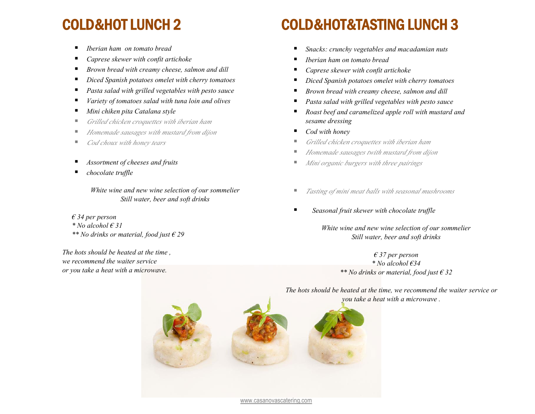### COLD&HOT LUNCH 2

- *Iberian ham on tomato bread*
- *Caprese skewer with confit artichoke*
- *Brown bread with creamy cheese, salmon and dill*
- *Diced Spanish potatoes omelet with cherry tomatoes*
- *Pasta salad with grilled vegetables with pesto sauce*
- *Variety of tomatoes salad with tuna loin and olives*
- *Mini chiken pita Catalana style*
- *Grilled chicken croquettes with iberian ham*
- *Homemade sausages with mustard from dijon*
- *Cod choux with honey tears*
- *Assortment of cheeses and fruits*
- *chocolate truffle*

*White wine and new wine selection of our sommelier Still water, beer and soft drinks*

*€ 34 per person \* No alcohol € 31*

*\*\* No drinks or material, food just € 29*

*The hots should be heated at the time , we recommend the waiter service or you take a heat with a microwave.*

## COLD&HOT&TASTING LUNCH 3

- *Snacks: crunchy vegetables and macadamian nuts*
- *Iberian ham on tomato bread*
- *Caprese skewer with confit artichoke*
- *Diced Spanish potatoes omelet with cherry tomatoes*
- *Brown bread with creamy cheese, salmon and dill*
- *Pasta salad with grilled vegetables with pesto sauce*
- *Roast beef and caramelized apple roll with mustard and sesame dressing*
- *Cod with honey*
- *Grilled chicken croquettes with iberian ham*
- *Homemade sausages twith mustard from dijon*
- *Mini organic burgers with three pairings*
- *Tasting of mini meat balls with seasonal mushrooms*
- Seasonal fruit skewer with chocolate truffle

*White wine and new wine selection of our sommelier Still water, beer and soft drinks*

> *€ 37 per person \* No alcohol €34 \*\* No drinks or material, food just € 32*

*The hots should be heated at the time, we recommend the waiter service or you take a heat with a microwave .*

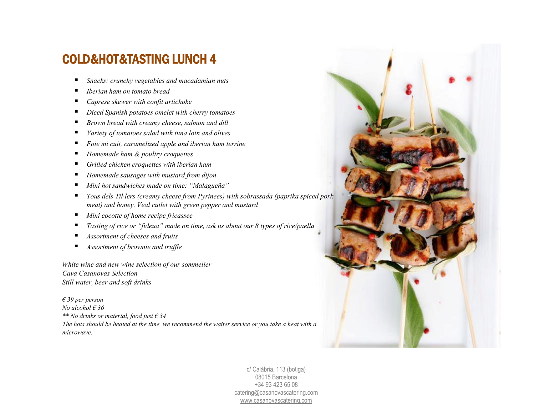#### COLD&HOT&TASTING LUNCH 4

- *Snacks: crunchy vegetables and macadamian nuts*
- *Iberian ham on tomato bread*
- *Caprese skewer with confit artichoke*
- *Diced Spanish potatoes omelet with cherry tomatoes*
- *Brown bread with creamy cheese, salmon and dill*
- *Variety of tomatoes salad with tuna loin and olives*
- *Foie mi cuit, caramelized apple and iberian ham terrine*
- *Homemade ham & poultry croquettes*
- *Grilled chicken croquettes with iberian ham*
- *Homemade sausages with mustard from dijon*
- *Mini hot sandwiches made on time: "Malagueña"*
- *Tous dels Til·lers (creamy cheese from Pyrinees) with sobrassada (paprika spiced pork meat) and honey, Veal cutlet with green pepper and mustard*
- *Mini cocotte of home recipe fricassee*
- *Tasting of rice or "fideua" made on time, ask us about our 8 types of rice/paella*
- *Assortment of cheeses and fruits*
- *Assortment of brownie and truffle*

*White wine and new wine selection of our sommelier Cava Casanovas Selection Still water, beer and soft drinks*

*€ 39 per person No alcohol € 36 \*\* No drinks or material, food just € 34 The hots should be heated at the time, we recommend the waiter service or you take a heat with a microwave.*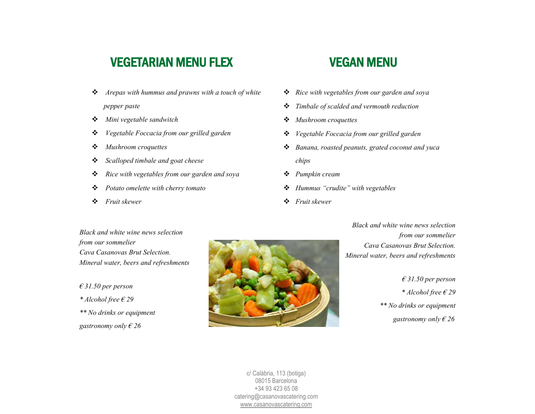#### VEGETARIAN MENU FLEX

- ❖ *Arepas with hummus and prawns with a touch of white pepper paste*
- ❖ *Mini vegetable sandwitch*
- ❖ *Vegetable Foccacia from our grilled garden*
- ❖ *Mushroom croquettes*
- ❖ *Scalloped timbale and goat cheese*
- ❖ *Rice with vegetables from our garden and soya*
- ❖ *Potato omelette with cherry tomato*
- ❖ *Fruit skewer*

#### VEGAN MENU

- ❖ *Rice with vegetables from our garden and soya*
- ❖ *Timbale of scalded and vermouth reduction*
- ❖ *Mushroom croquettes*
- ❖ *Vegetable Foccacia from our grilled garden*
- ❖ *Banana, roasted peanuts, grated coconut and yuca chips*
- ❖ *Pumpkin cream*
- ❖ *Hummus "crudite" with vegetables*
- ❖ *Fruit skewer*

*Black and white wine news selection from our sommelier Cava Casanovas Brut Selection. Mineral water, beers and refreshments*

*€ 31.50 per person*

*\* Alcohol free € 29*

*\*\* No drinks or equipment*

*gastronomy only € 26*



*Black and white wine news selection from our sommelier Cava Casanovas Brut Selection. Mineral water, beers and refreshments*

> *€ 31.50 per person \* Alcohol free € 29 \*\* No drinks or equipment gastronomy only € 26*